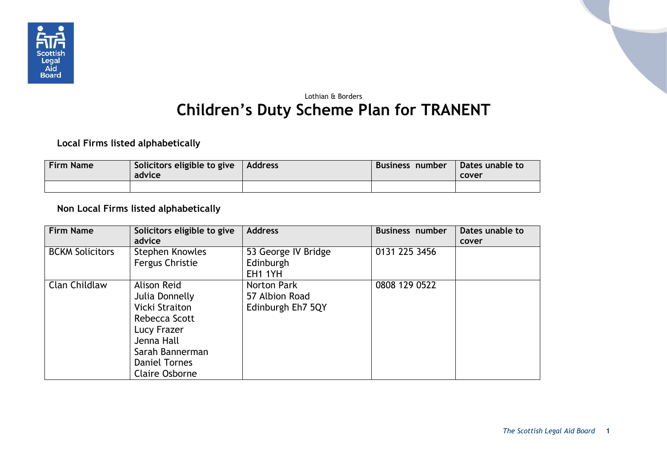

## Lothian & Borders **Children's Duty Scheme Plan for TRANENT**

## **Local Firms listed alphabetically**

| <b>Firm Name</b> | Solicitors eligible to give $\vert$ Address<br>advice | Business number | Dates unable to<br>cover |
|------------------|-------------------------------------------------------|-----------------|--------------------------|
|                  |                                                       |                 |                          |

## **Non Local Firms listed alphabetically**

| <b>Firm Name</b>       | Solicitors eligible to give<br>advice                                                                                                                             | <b>Address</b>                                     | <b>Business number</b> | Dates unable to<br>cover |
|------------------------|-------------------------------------------------------------------------------------------------------------------------------------------------------------------|----------------------------------------------------|------------------------|--------------------------|
| <b>BCKM Solicitors</b> | Stephen Knowles<br>Fergus Christie                                                                                                                                | 53 George IV Bridge<br>Edinburgh<br><b>EH1 1YH</b> | 0131 225 3456          |                          |
| Clan Childlaw          | Alison Reid<br>Julia Donnelly<br>Vicki Straiton<br>Rebecca Scott<br>Lucy Frazer<br>Jenna Hall<br>Sarah Bannerman<br><b>Daniel Tornes</b><br><b>Claire Osborne</b> | Norton Park<br>57 Albion Road<br>Edinburgh Eh7 5QY | 0808 129 0522          |                          |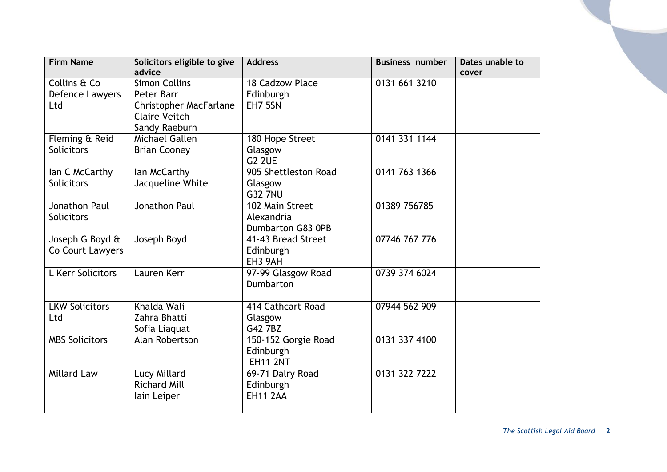| <b>Firm Name</b>                       | Solicitors eligible to give<br>advice                                                       | <b>Address</b>                                      | <b>Business number</b> | Dates unable to |
|----------------------------------------|---------------------------------------------------------------------------------------------|-----------------------------------------------------|------------------------|-----------------|
| Collins & Co<br>Defence Lawyers<br>Ltd | <b>Simon Collins</b><br>Peter Barr<br><b>Christopher MacFarlane</b><br><b>Claire Veitch</b> | 18 Cadzow Place<br>Edinburgh<br>EH7 5SN             | 0131 661 3210          | cover           |
| Fleming & Reid<br><b>Solicitors</b>    | Sandy Raeburn<br>Michael Gallen<br><b>Brian Cooney</b>                                      | 180 Hope Street<br>Glasgow<br>G <sub>2</sub> 2UE    | 0141 331 1144          |                 |
| lan C McCarthy<br><b>Solicitors</b>    | lan McCarthy<br>Jacqueline White                                                            | 905 Shettleston Road<br>Glasgow<br><b>G32 7NU</b>   | 0141 763 1366          |                 |
| Jonathon Paul<br><b>Solicitors</b>     | Jonathon Paul                                                                               | 102 Main Street<br>Alexandria<br>Dumbarton G83 0PB  | 01389 756785           |                 |
| Joseph G Boyd &<br>Co Court Lawyers    | Joseph Boyd                                                                                 | 41-43 Bread Street<br>Edinburgh<br>EH3 9AH          | 07746 767 776          |                 |
| L Kerr Solicitors                      | Lauren Kerr                                                                                 | 97-99 Glasgow Road<br>Dumbarton                     | 0739 374 6024          |                 |
| <b>LKW Solicitors</b><br>Ltd           | Khalda Wali<br>Zahra Bhatti<br>Sofia Liaquat                                                | 414 Cathcart Road<br>Glasgow<br>G42 7BZ             | 07944 562 909          |                 |
| <b>MBS Solicitors</b>                  | Alan Robertson                                                                              | 150-152 Gorgie Road<br>Edinburgh<br><b>EH11 2NT</b> | 0131 337 4100          |                 |
| <b>Millard Law</b>                     | Lucy Millard<br><b>Richard Mill</b><br>lain Leiper                                          | 69-71 Dalry Road<br>Edinburgh<br><b>EH11 2AA</b>    | 0131 322 7222          |                 |